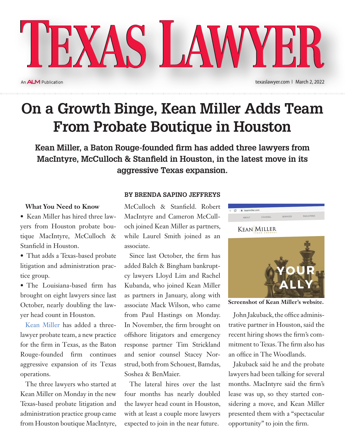An **ALM** Publication

## **On a Growth Binge, Kean Miller Adds Team From Probate Boutique in Houston**

**Kean Miller, a Baton Rouge-founded firm has added three lawyers from MacIntyre, McCulloch & Stanfield in Houston, in the latest move in its aggressive Texas expansion.**

## **What You Need to Know**

• Kean Miller has hired three lawyers from Houston probate boutique MacIntyre, McCulloch & Stanfield in Houston.

• That adds a Texas-based probate litigation and administration practice group.

• The Louisiana-based firm has brought on eight lawyers since last October, nearly doubling the lawyer head count in Houston.

Kean Miller has added a threelawyer probate team, a new practice for the firm in Texas, as the Baton Rouge-founded firm continues aggressive expansion of its Texas operations.

The three lawyers who started at Kean Miller on Monday in the new Texas-based probate litigation and administration practice group came from Houston boutique MacIntyre,

## **BY Brenda Sapino Jeffreys**

McCulloch & Stanfield. Robert MacIntyre and Cameron McCulloch joined Kean Miller as partners, while Laurel Smith joined as an associate.

Since last October, the firm has added Balch & Bingham bankruptcy lawyers Lloyd Lim and Rachel Kubanda, who joined Kean Miller as partners in January, along with associate Mack Wilson, who came from Paul Hastings on Monday. In November, the firm brought on offshore litigators and emergency response partner Tim Strickland and senior counsel Stacey Norstrud, both from Schouest, Bamdas, Soshea & BenMaier.

The lateral hires over the last four months has nearly doubled the lawyer head count in Houston, with at least a couple more lawyers expected to join in the near future.



**Screenshot of Kean Miller's website.**

John Jakuback, the office administrative partner in Houston, said the recent hiring shows the firm's commitment to Texas. The firm also has an office in The Woodlands.

Jakuback said he and the probate lawyers had been talking for several months. MacIntyre said the firm's lease was up, so they started considering a move, and Kean Miller presented them with a "spectacular opportunity" to join the firm.